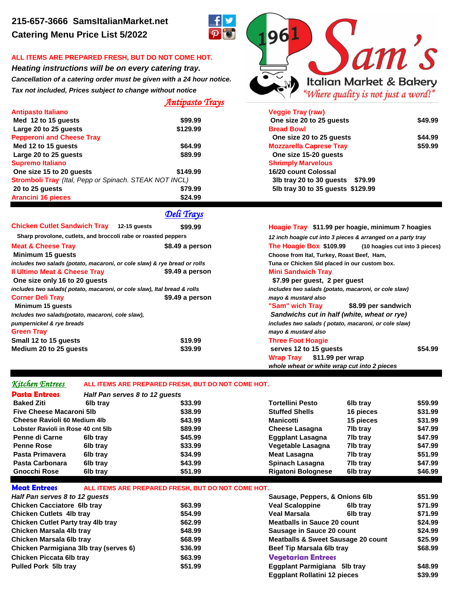## **ALL ITEMS ARE PREPARED FRESH, BUT DO NOT COME HOT.**

*Heating instructions will be on every catering tray. Cancellation of a catering order must be given with a 24 hour notice. Tax not included, Prices subject to change without notice*

## *Antipasto Trays*

| Antipasto Italiano                                     |          | <b>Veggie Tray (raw)</b>            |         |  |
|--------------------------------------------------------|----------|-------------------------------------|---------|--|
| Med 12 to 15 guests                                    | \$99.99  | One size 20 to 25 quests            | \$49.99 |  |
| Large 20 to 25 quests                                  | \$129.99 | <b>Bread Bowl</b>                   |         |  |
| <b>Pepperoni and Cheese Tray</b>                       |          | One size 20 to 25 quests            | \$44.99 |  |
| Med 12 to 15 guests                                    | \$64.99  | <b>Mozzarella Caprese Tray</b>      | \$59.99 |  |
| Large 20 to 25 quests                                  | \$89.99  | One size 15-20 quests               |         |  |
| Supremo Italiano                                       |          | <b>Shrimply Marvelous</b>           |         |  |
| One size 15 to 20 quests                               | \$149.99 | 16/20 count Colossal                |         |  |
| Stromboli Tray (Ital, Pepp or Spinach. STEAK NOT INCL) |          | 3lb tray 20 to 30 guests<br>\$79.99 |         |  |
| 20 to 25 quests                                        | \$79.99  | 5lb tray 30 to 35 guests \$129.99   |         |  |
| Arancini 16 pieces                                     | \$24.99  |                                     |         |  |

*Deli Trays*

| <b>Chicken Cutlet Sandwich Tray</b> 12-15 guests                          | \$99.99         | Hoagie Tray \$11.99 per hoagie, minimum 7 hoagies           |  |  |
|---------------------------------------------------------------------------|-----------------|-------------------------------------------------------------|--|--|
| Sharp provolone, cutlets, and broccoli rabe or roasted peppers            |                 | 12 inch hoagie cut into 3 pieces & arranged on a party tray |  |  |
| <b>Meat &amp; Cheese Tray</b>                                             | \$8.49 a person | The Hoagie Box \$109.99<br>(10 hoagies cut into 3 pieces)   |  |  |
| Minimum 15 quests                                                         |                 | Choose from Ital, Turkey, Roast Beef, Ham,                  |  |  |
| includes two salads (potato, macaroni, or cole slaw) & rye bread or rolls |                 | Tuna or Chicken SId placed in our custom box.               |  |  |
| <b>Il Ultimo Meat &amp; Cheese Tray</b>                                   | \$9.49 a person | <b>Mini Sandwich Tray</b>                                   |  |  |
| One size only 16 to 20 guests                                             |                 | \$7.99 per quest, 2 per quest                               |  |  |
| includes two salads(potato, macaroni, or cole slaw), Ital bread & rolls   |                 | includes two salads (potato, macaroni, or cole slaw)        |  |  |
| <b>Corner Deli Tray</b>                                                   | \$9.49 a person | mayo & mustard also                                         |  |  |
| Minimum 15 guests                                                         |                 | "Sam" wich Tray<br>\$8.99 per sandwich                      |  |  |
| Includes two salads(potato, macaroni, cole slaw),                         |                 | Sandwichs cut in half (white, wheat or rye)                 |  |  |
| pumpernickel & rye breads                                                 |                 | includes two salads (potato, macaroni, or cole slaw)        |  |  |
| <b>Green Tray</b>                                                         |                 | mayo & mustard also                                         |  |  |
| Small 12 to 15 guests                                                     | \$19.99         | <b>Three Foot Hoagie</b>                                    |  |  |
| Medium 20 to 25 guests                                                    | \$39.99         | \$54.99<br>serves 12 to 15 guests                           |  |  |
|                                                                           |                 | Wrap Tray \$11.99 per wrap                                  |  |  |
|                                                                           |                 | whole wheat or white wrap cut into 2 pieces                 |  |  |

## *Kitchen Entrees* **ALL ITEMS ARE PREPARED FRESH, BUT DO NOT COME HOT.**

| 6lb tray                            | \$33.99 | Tortellini Pesto               | 6lb tray  | \$59.99 |
|-------------------------------------|---------|--------------------------------|-----------|---------|
| Five Cheese Macaroni 5lb            | \$38.99 | <b>Stuffed Shells</b>          | 16 pieces | \$31.99 |
| <b>Cheese Ravioli 60 Medium 4lb</b> | \$43.99 | Manicotti                      | 15 pieces | \$31.99 |
| Lobster Ravioli in Rose 40 cnt 5lb  | \$89.99 | <b>Cheese Lasagna</b>          | 7lb tray  | \$47.99 |
| 6lb tray                            | \$45.99 | <b>Eggplant Lasagna</b>        | 7lb tray  | \$47.99 |
| 6lb tray                            | \$33.99 | Vegetable Lasagna              | 7lb tray  | \$47.99 |
| 6lb tray                            | \$34.99 | Meat Lasagna                   | 7lb tray  | \$51.99 |
| 6lb tray                            | \$43.99 | Spinach Lasagna                | 7lb tray  | \$47.99 |
| 6lb tray                            | \$51.99 | <b>Rigatoni Bolognese</b>      | 6lb tray  | \$46.99 |
|                                     |         | Half Pan serves 8 to 12 quests |           |         |

| <b>Meat Entrees</b>                       | ALL ITEMS ARE PREPARED FRESH. BUT DO NOT COME HOT. |                                |                                     |                                               |         |
|-------------------------------------------|----------------------------------------------------|--------------------------------|-------------------------------------|-----------------------------------------------|---------|
| Half Pan serves 8 to 12 quests            |                                                    | Sausage, Peppers, & Onions 6lb |                                     | \$51.99                                       |         |
| <b>Chicken Cacciatore 6lb tray</b>        |                                                    | \$63.99                        | <b>Veal Scaloppine</b>              | 6lb trav                                      | \$71.99 |
| <b>Chicken Cutlets 4lb tray</b>           |                                                    | \$54.99                        | Veal Marsala                        | 6lb trav                                      | \$71.99 |
| <b>Chicken Cutlet Party tray 4lb tray</b> |                                                    | \$62.99                        | <b>Meatballs in Sauce 20 count</b>  |                                               | \$24.99 |
| Chicken Marsala 4lb tray                  |                                                    | \$48.99                        |                                     | Sausage in Sauce 20 count                     |         |
| Chicken Marsala 6lb tray                  |                                                    | \$68.99                        |                                     | <b>Meatballs &amp; Sweet Sausage 20 count</b> |         |
| Chicken Parmigiana 3lb tray (serves 6)    |                                                    | \$36.99                        | Beef Tip Marsala 6lb tray           |                                               | \$68.99 |
| Chicken Piccata 6lb tray                  |                                                    | \$63.99                        | <b>Vegetarian Entrees</b>           |                                               |         |
| <b>Pulled Pork 5lb tray</b>               |                                                    | \$51.99                        | Eggplant Parmigiana 5lb tray        |                                               | \$48.99 |
|                                           |                                                    |                                | <b>Eggplant Rollatini 12 pieces</b> |                                               | \$39.99 |



| veggie Tiay (Taw)                 |         |
|-----------------------------------|---------|
| One size 20 to 25 quests          | \$49.99 |
| <b>Bread Bowl</b>                 |         |
| One size 20 to 25 guests          | \$44.99 |
| <b>Mozzarella Caprese Tray</b>    | \$59.99 |
| One size 15-20 quests             |         |
| <b>Shrimply Marvelous</b>         |         |
| 16/20 count Colossal              |         |
| 3lb tray 20 to 30 quests \$79.99  |         |
| 5lb tray 30 to 35 quests \$129.99 |         |
|                                   |         |